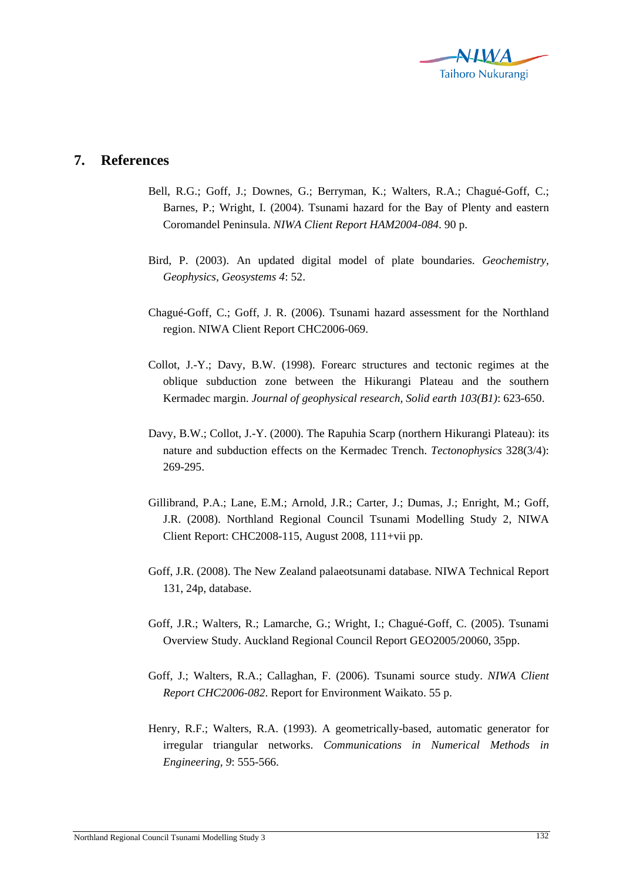

## **7. References**

- Bell, R.G.; Goff, J.; Downes, G.; Berryman, K.; Walters, R.A.; Chagué-Goff, C.; Barnes, P.; Wright, I. (2004). Tsunami hazard for the Bay of Plenty and eastern Coromandel Peninsula. *NIWA Client Report HAM2004-084*. 90 p.
- Bird, P. (2003). An updated digital model of plate boundaries. *Geochemistry, Geophysics, Geosystems 4*: 52.
- Chagué-Goff, C.; Goff, J. R. (2006). Tsunami hazard assessment for the Northland region. NIWA Client Report CHC2006-069.
- Collot, J.-Y.; Davy, B.W. (1998). Forearc structures and tectonic regimes at the oblique subduction zone between the Hikurangi Plateau and the southern Kermadec margin. *Journal of geophysical research, Solid earth 103(B1)*: 623-650.
- Davy, B.W.; Collot, J.-Y. (2000). The Rapuhia Scarp (northern Hikurangi Plateau): its nature and subduction effects on the Kermadec Trench. *Tectonophysics* 328(3/4): 269-295.
- Gillibrand, P.A.; Lane, E.M.; Arnold, J.R.; Carter, J.; Dumas, J.; Enright, M.; Goff, J.R. (2008). Northland Regional Council Tsunami Modelling Study 2, NIWA Client Report: CHC2008-115, August 2008, 111+vii pp.
- Goff, J.R. (2008). The New Zealand palaeotsunami database. NIWA Technical Report 131, 24p, database.
- Goff, J.R.; Walters, R.; Lamarche, G.; Wright, I.; Chagué-Goff, C. (2005). Tsunami Overview Study. Auckland Regional Council Report GEO2005/20060, 35pp.
- Goff, J.; Walters, R.A.; Callaghan, F. (2006). Tsunami source study. *NIWA Client Report CHC2006-082*. Report for Environment Waikato. 55 p.
- Henry, R.F.; Walters, R.A. (1993). A geometrically-based, automatic generator for irregular triangular networks. *Communications in Numerical Methods in Engineering, 9*: 555-566.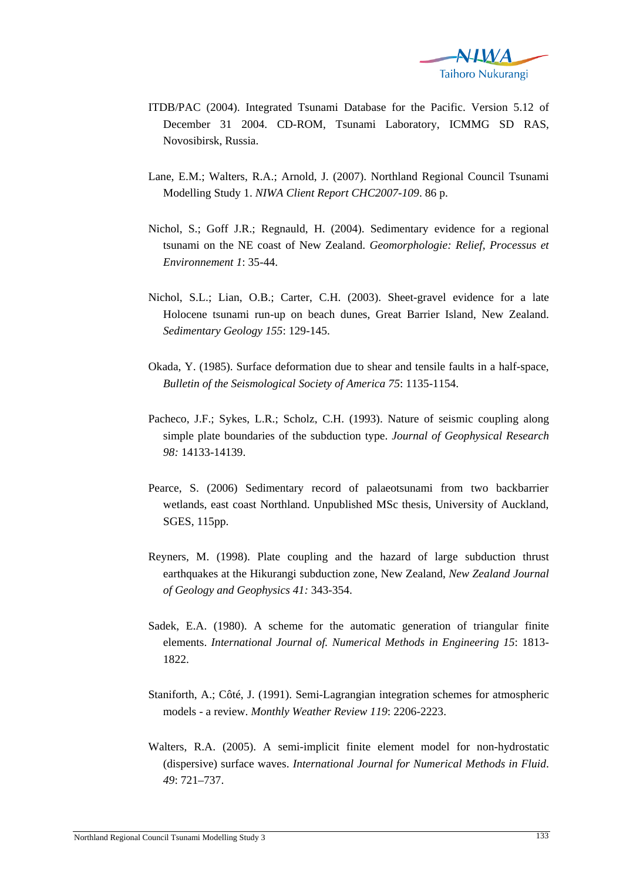

- ITDB/PAC (2004). Integrated Tsunami Database for the Pacific. Version 5.12 of December 31 2004. CD-ROM, Tsunami Laboratory, ICMMG SD RAS, Novosibirsk, Russia.
- Lane, E.M.; Walters, R.A.; Arnold, J. (2007). Northland Regional Council Tsunami Modelling Study 1. *NIWA Client Report CHC2007-109*. 86 p.
- Nichol, S.; Goff J.R.; Regnauld, H. (2004). Sedimentary evidence for a regional tsunami on the NE coast of New Zealand. *Geomorphologie: Relief, Processus et Environnement 1*: 35-44.
- Nichol, S.L.; Lian, O.B.; Carter, C.H. (2003). Sheet-gravel evidence for a late Holocene tsunami run-up on beach dunes, Great Barrier Island, New Zealand. *Sedimentary Geology 155*: 129-145.
- Okada, Y. (1985). Surface deformation due to shear and tensile faults in a half-space, *Bulletin of the Seismological Society of America 75*: 1135-1154.
- Pacheco, J.F.; Sykes, L.R.; Scholz, C.H. (1993). Nature of seismic coupling along simple plate boundaries of the subduction type. *Journal of Geophysical Research 98:* 14133-14139.
- Pearce, S. (2006) Sedimentary record of palaeotsunami from two backbarrier wetlands, east coast Northland. Unpublished MSc thesis, University of Auckland, SGES, 115pp.
- Reyners, M. (1998). Plate coupling and the hazard of large subduction thrust earthquakes at the Hikurangi subduction zone, New Zealand, *New Zealand Journal of Geology and Geophysics 41:* 343-354.
- Sadek, E.A. (1980). A scheme for the automatic generation of triangular finite elements. *International Journal of. Numerical Methods in Engineering 15*: 1813- 1822.
- Staniforth, A.; Côté, J. (1991). Semi-Lagrangian integration schemes for atmospheric models - a review. *Monthly Weather Review 119*: 2206-2223.
- Walters, R.A. (2005). A semi-implicit finite element model for non-hydrostatic (dispersive) surface waves. *International Journal for Numerical Methods in Fluid*. *49*: 721–737.